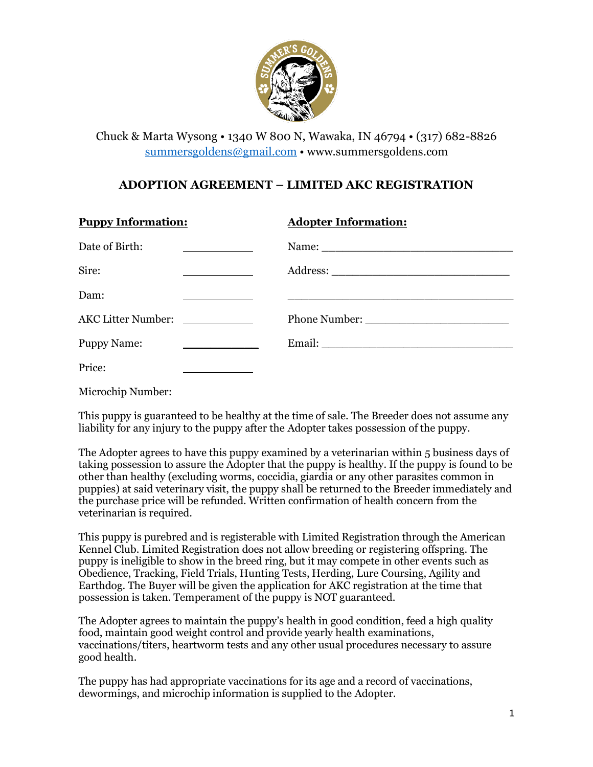

Chuck & Marta Wysong • 1340 W 800 N, Wawaka, IN 46794 • (317) 682-8826 [summersgoldens@gmail.com](mailto:summersgoldens@gmail.com) • www.summersgoldens.com

## **ADOPTION AGREEMENT – LIMITED AKC REGISTRATION**

| <b>Puppy Information:</b> | <b>Adopter Information:</b> |
|---------------------------|-----------------------------|
| Date of Birth:            |                             |
| Sire:                     |                             |
| Dam:                      |                             |
| AKC Litter Number:        |                             |
| <b>Puppy Name:</b>        |                             |
| Price:                    |                             |

Microchip Number:

This puppy is guaranteed to be healthy at the time of sale. The Breeder does not assume any liability for any injury to the puppy after the Adopter takes possession of the puppy.

The Adopter agrees to have this puppy examined by a veterinarian within 5 business days of taking possession to assure the Adopter that the puppy is healthy. If the puppy is found to be other than healthy (excluding worms, coccidia, giardia or any other parasites common in puppies) at said veterinary visit, the puppy shall be returned to the Breeder immediately and the purchase price will be refunded. Written confirmation of health concern from the veterinarian is required.

This puppy is purebred and is registerable with Limited Registration through the American Kennel Club. Limited Registration does not allow breeding or registering offspring. The puppy is ineligible to show in the breed ring, but it may compete in other events such as Obedience, Tracking, Field Trials, Hunting Tests, Herding, Lure Coursing, Agility and Earthdog. The Buyer will be given the application for AKC registration at the time that possession is taken. Temperament of the puppy is NOT guaranteed.

The Adopter agrees to maintain the puppy's health in good condition, feed a high quality food, maintain good weight control and provide yearly health examinations, vaccinations/titers, heartworm tests and any other usual procedures necessary to assure good health.

The puppy has had appropriate vaccinations for its age and a record of vaccinations, dewormings, and microchip information is supplied to the Adopter.